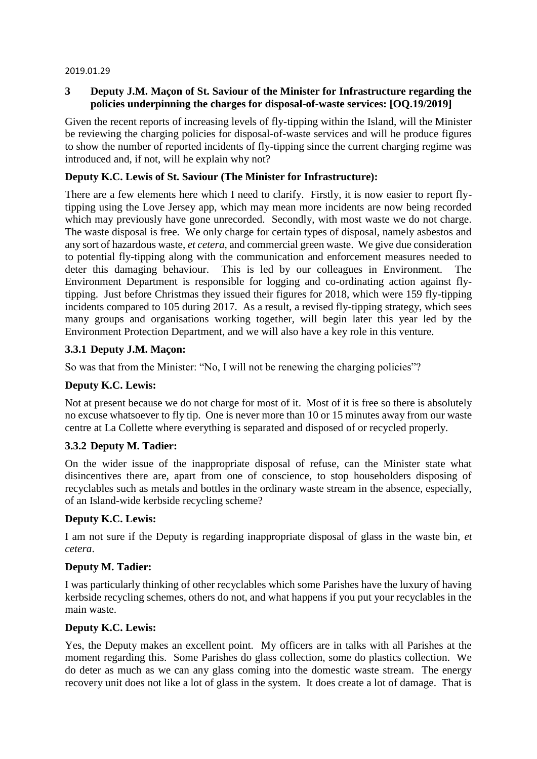#### 2019.01.29

### **3 Deputy J.M. Maçon of St. Saviour of the Minister for Infrastructure regarding the policies underpinning the charges for disposal-of-waste services: [OQ.19/2019]**

Given the recent reports of increasing levels of fly-tipping within the Island, will the Minister be reviewing the charging policies for disposal-of-waste services and will he produce figures to show the number of reported incidents of fly-tipping since the current charging regime was introduced and, if not, will he explain why not?

### **Deputy K.C. Lewis of St. Saviour (The Minister for Infrastructure):**

There are a few elements here which I need to clarify. Firstly, it is now easier to report flytipping using the Love Jersey app, which may mean more incidents are now being recorded which may previously have gone unrecorded. Secondly, with most waste we do not charge. The waste disposal is free. We only charge for certain types of disposal, namely asbestos and any sort of hazardous waste, *et cetera*, and commercial green waste. We give due consideration to potential fly-tipping along with the communication and enforcement measures needed to deter this damaging behaviour. This is led by our colleagues in Environment. The Environment Department is responsible for logging and co-ordinating action against flytipping. Just before Christmas they issued their figures for 2018, which were 159 fly-tipping incidents compared to 105 during 2017. As a result, a revised fly-tipping strategy, which sees many groups and organisations working together, will begin later this year led by the Environment Protection Department, and we will also have a key role in this venture.

# **3.3.1 Deputy J.M. Maçon:**

So was that from the Minister: "No, I will not be renewing the charging policies"?

#### **Deputy K.C. Lewis:**

Not at present because we do not charge for most of it. Most of it is free so there is absolutely no excuse whatsoever to fly tip. One is never more than 10 or 15 minutes away from our waste centre at La Collette where everything is separated and disposed of or recycled properly.

# **3.3.2 Deputy M. Tadier:**

On the wider issue of the inappropriate disposal of refuse, can the Minister state what disincentives there are, apart from one of conscience, to stop householders disposing of recyclables such as metals and bottles in the ordinary waste stream in the absence, especially, of an Island-wide kerbside recycling scheme?

#### **Deputy K.C. Lewis:**

I am not sure if the Deputy is regarding inappropriate disposal of glass in the waste bin, *et cetera*.

#### **Deputy M. Tadier:**

I was particularly thinking of other recyclables which some Parishes have the luxury of having kerbside recycling schemes, others do not, and what happens if you put your recyclables in the main waste.

#### **Deputy K.C. Lewis:**

Yes, the Deputy makes an excellent point. My officers are in talks with all Parishes at the moment regarding this. Some Parishes do glass collection, some do plastics collection. We do deter as much as we can any glass coming into the domestic waste stream. The energy recovery unit does not like a lot of glass in the system. It does create a lot of damage. That is